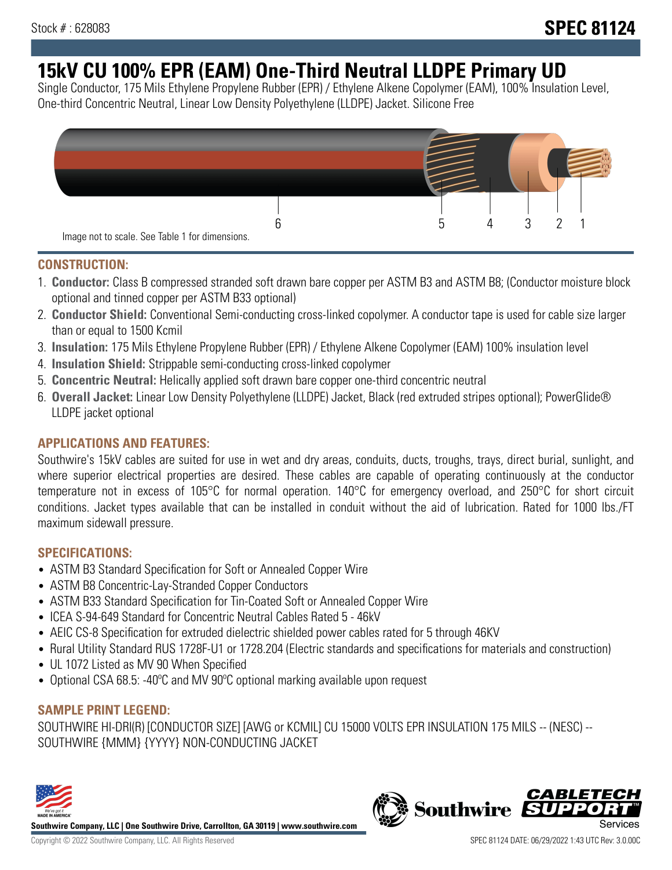# **15kV CU 100% EPR (EAM) One-Third Neutral LLDPE Primary UD**

Single Conductor, 175 Mils Ethylene Propylene Rubber (EPR) / Ethylene Alkene Copolymer (EAM), 100% Insulation Level, One-third Concentric Neutral, Linear Low Density Polyethylene (LLDPE) Jacket. Silicone Free



#### **CONSTRUCTION:**

- 1. **Conductor:** Class B compressed stranded soft drawn bare copper per ASTM B3 and ASTM B8; (Conductor moisture block optional and tinned copper per ASTM B33 optional)
- 2. **Conductor Shield:** Conventional Semi-conducting cross-linked copolymer. A conductor tape is used for cable size larger than or equal to 1500 Kcmil
- 3. **Insulation:** 175 Mils Ethylene Propylene Rubber (EPR) / Ethylene Alkene Copolymer (EAM) 100% insulation level
- 4. **Insulation Shield:** Strippable semi-conducting cross-linked copolymer
- 5. **Concentric Neutral:** Helically applied soft drawn bare copper one-third concentric neutral
- 6. **Overall Jacket:** Linear Low Density Polyethylene (LLDPE) Jacket, Black (red extruded stripes optional); PowerGlide® LLDPE jacket optional

## **APPLICATIONS AND FEATURES:**

Southwire's 15kV cables are suited for use in wet and dry areas, conduits, ducts, troughs, trays, direct burial, sunlight, and where superior electrical properties are desired. These cables are capable of operating continuously at the conductor temperature not in excess of 105°C for normal operation. 140°C for emergency overload, and 250°C for short circuit conditions. Jacket types available that can be installed in conduit without the aid of lubrication. Rated for 1000 lbs./FT maximum sidewall pressure.

## **SPECIFICATIONS:**

- ASTM B3 Standard Specification for Soft or Annealed Copper Wire
- ASTM B8 Concentric-Lay-Stranded Copper Conductors
- ASTM B33 Standard Specification for Tin-Coated Soft or Annealed Copper Wire
- ICEA S-94-649 Standard for Concentric Neutral Cables Rated 5 46kV
- AEIC CS-8 Specification for extruded dielectric shielded power cables rated for 5 through 46KV
- Rural Utility Standard RUS 1728F-U1 or 1728.204 (Electric standards and specifications for materials and construction)
- UL 1072 Listed as MV 90 When Specified
- Optional CSA 68.5: -40°C and MV 90°C optional marking available upon request

## **SAMPLE PRINT LEGEND:**

SOUTHWIRE HI-DRI(R) [CONDUCTOR SIZE] [AWG or KCMIL] CU 15000 VOLTS EPR INSULATION 175 MILS -- (NESC) -- SOUTHWIRE {MMM} {YYYY} NON-CONDUCTING JACKET



**Southwire Company, LLC | One Southwire Drive, Carrollton, GA 30119 | www.southwire.com**